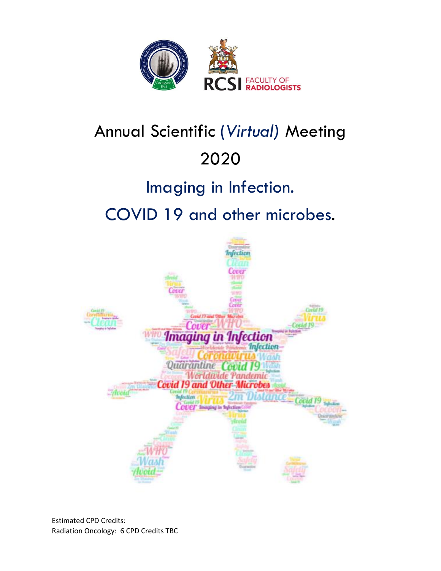

# Annual Scientific (*Virtual)* Meeting 2020

## Imaging in Infection.

# COVID 19 and other microbes.



Estimated CPD Credits: Radiation Oncology: 6 CPD Credits TBC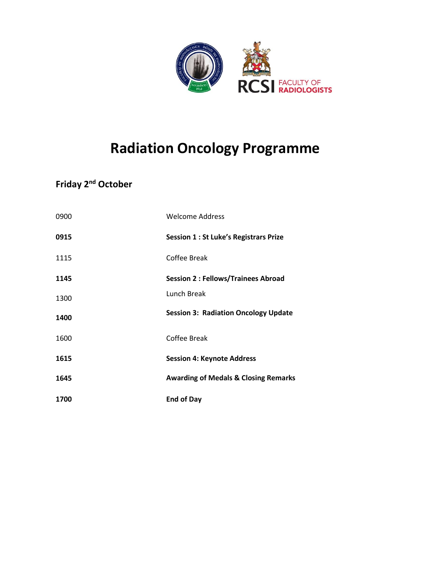

### **Radiation Oncology Programme**

### **Friday 2nd October**

| 0900 | <b>Welcome Address</b>                          |
|------|-------------------------------------------------|
| 0915 | <b>Session 1: St Luke's Registrars Prize</b>    |
| 1115 | Coffee Break                                    |
| 1145 | <b>Session 2: Fellows/Trainees Abroad</b>       |
| 1300 | Lunch Break                                     |
| 1400 | <b>Session 3: Radiation Oncology Update</b>     |
| 1600 | Coffee Break                                    |
| 1615 | <b>Session 4: Keynote Address</b>               |
| 1645 | <b>Awarding of Medals &amp; Closing Remarks</b> |
| 1700 | <b>End of Day</b>                               |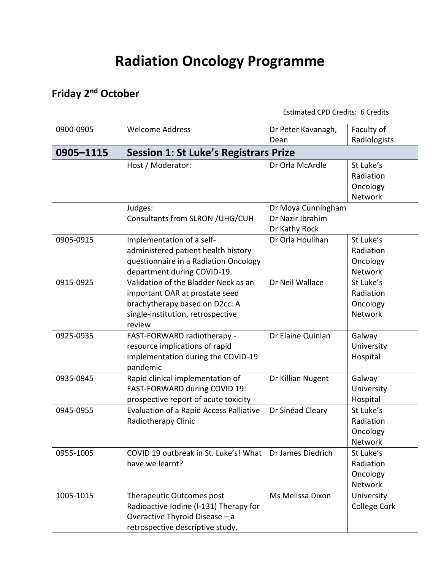### **Radiation Oncology Programme**

### **Friday 2nd October**

Estimated CPD Credits: 6 Credits

| 0900-0905 | <b>Welcome Address</b>                         | Dr Peter Kavanagh, | Faculty of     |
|-----------|------------------------------------------------|--------------------|----------------|
|           |                                                | Dean               | Radiologists   |
| 0905-1115 | <b>Session 1: St Luke's Registrars Prize</b>   |                    |                |
|           | Host / Moderator:                              | Dr Orla McArdle    | St Luke's      |
|           |                                                |                    | Radiation      |
|           |                                                |                    | Oncology       |
|           |                                                |                    | <b>Network</b> |
|           | Judges:                                        | Dr Moya Cunningham |                |
|           | Consultants from SLRON / UHG/CUH               | Dr Nazir Ibrahim   |                |
|           |                                                | Dr Kathy Rock      |                |
| 0905-0915 | Implementation of a self-                      | Dr Orla Houlihan   | St Luke's      |
|           | administered patient health history            |                    | Radiation      |
|           | questionnaire in a Radiation Oncology          |                    | Oncology       |
|           | department during COVID-19.                    |                    | <b>Network</b> |
| 0915-0925 | Validation of the Bladder Neck as an           | Dr Neil Wallace    | St Luke's      |
|           | important OAR at prostate seed                 |                    | Radiation      |
|           | brachytherapy based on D2cc: A                 |                    | Oncology       |
|           | single-institution, retrospective              |                    | Network        |
|           | review                                         |                    |                |
| 0925-0935 | FAST-FORWARD radiotherapy -                    | Dr Elaine Quinlan  | Galway         |
|           | resource implications of rapid                 |                    | University     |
|           | implementation during the COVID-19             |                    | Hospital       |
|           | pandemic                                       |                    |                |
| 0935-0945 | Rapid clinical implementation of               | Dr Killian Nugent  | Galway         |
|           | FAST-FORWARD during COVID 19:                  |                    | University     |
|           | prospective report of acute toxicity           |                    | Hospital       |
| 0945-0955 | <b>Evaluation of a Rapid Access Palliative</b> | Dr Sinéad Cleary   | St Luke's      |
|           | Radiotherapy Clinic                            |                    | Radiation      |
|           |                                                |                    | Oncology       |
|           |                                                |                    | Network        |
| 0955-1005 | COVID 19 outbreak in St. Luke's! What          | Dr James Diedrich  | St Luke's      |
|           | have we learnt?                                |                    | Radiation      |
|           |                                                |                    | Oncology       |
|           |                                                |                    | Network        |
| 1005-1015 | Therapeutic Outcomes post                      | Ms Melissa Dixon   | University     |
|           | Radioactive Iodine (I-131) Therapy for         |                    | College Cork   |
|           | Overactive Thyroid Disease - a                 |                    |                |
|           | retrospective descriptive study.               |                    |                |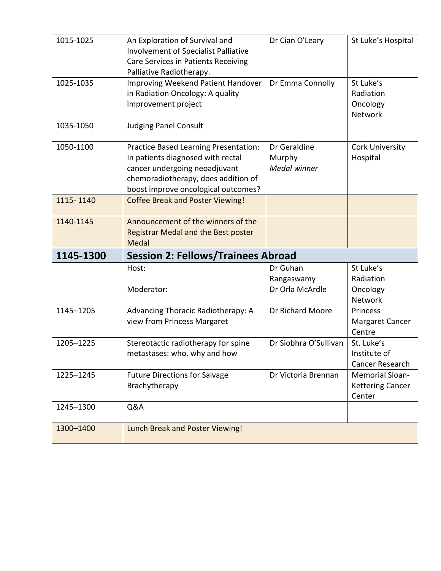| 1015-1025 | An Exploration of Survival and<br>Involvement of Specialist Palliative<br>Care Services in Patients Receiving<br>Palliative Radiotherapy.                                                 | Dr Cian O'Leary                           | St Luke's Hospital                                          |
|-----------|-------------------------------------------------------------------------------------------------------------------------------------------------------------------------------------------|-------------------------------------------|-------------------------------------------------------------|
| 1025-1035 | Improving Weekend Patient Handover<br>in Radiation Oncology: A quality<br>improvement project                                                                                             | Dr Emma Connolly                          | St Luke's<br>Radiation<br>Oncology<br>Network               |
| 1035-1050 | <b>Judging Panel Consult</b>                                                                                                                                                              |                                           |                                                             |
| 1050-1100 | Practice Based Learning Presentation:<br>In patients diagnosed with rectal<br>cancer undergoing neoadjuvant<br>chemoradiotherapy, does addition of<br>boost improve oncological outcomes? | Dr Geraldine<br>Murphy<br>Medal winner    | Cork University<br>Hospital                                 |
| 1115-1140 | <b>Coffee Break and Poster Viewing!</b>                                                                                                                                                   |                                           |                                                             |
| 1140-1145 | Announcement of the winners of the<br><b>Registrar Medal and the Best poster</b>                                                                                                          |                                           |                                                             |
|           | Medal                                                                                                                                                                                     |                                           |                                                             |
| 1145-1300 | <b>Session 2: Fellows/Trainees Abroad</b>                                                                                                                                                 |                                           |                                                             |
|           | Host:<br>Moderator:                                                                                                                                                                       | Dr Guhan<br>Rangaswamy<br>Dr Orla McArdle | St Luke's<br>Radiation<br>Oncology                          |
| 1145-1205 | Advancing Thoracic Radiotherapy: A<br>view from Princess Margaret                                                                                                                         | Dr Richard Moore                          | Network<br>Princess<br>Margaret Cancer<br>Centre            |
| 1205-1225 | Stereotactic radiotherapy for spine<br>metastases: who, why and how                                                                                                                       | Dr Siobhra O'Sullivan                     | St. Luke's<br>Institute of<br>Cancer Research               |
| 1225-1245 | <b>Future Directions for Salvage</b><br>Brachytherapy                                                                                                                                     | Dr Victoria Brennan                       | <b>Memorial Sloan-</b><br><b>Kettering Cancer</b><br>Center |
| 1245-1300 | Q&A                                                                                                                                                                                       |                                           |                                                             |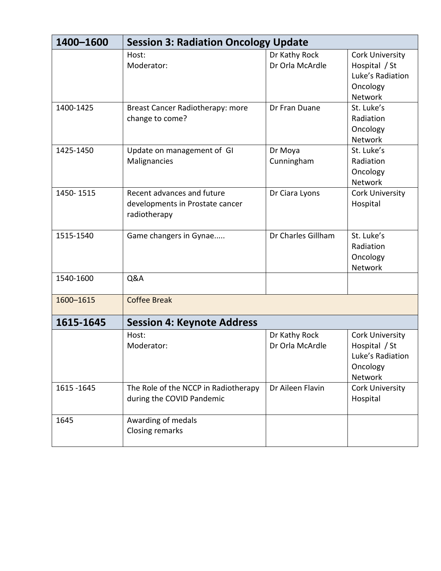| 1400-1600   | <b>Session 3: Radiation Oncology Update</b>                                   |                                  |                                                                                    |  |
|-------------|-------------------------------------------------------------------------------|----------------------------------|------------------------------------------------------------------------------------|--|
|             | Host:<br>Moderator:                                                           | Dr Kathy Rock<br>Dr Orla McArdle | Cork University<br>Hospital / St<br>Luke's Radiation<br>Oncology<br><b>Network</b> |  |
| 1400-1425   | Breast Cancer Radiotherapy: more<br>change to come?                           | Dr Fran Duane                    | St. Luke's<br>Radiation<br>Oncology<br><b>Network</b>                              |  |
| 1425-1450   | Update on management of GI<br>Malignancies                                    | Dr Moya<br>Cunningham            | St. Luke's<br>Radiation<br>Oncology<br>Network                                     |  |
| 1450-1515   | Recent advances and future<br>developments in Prostate cancer<br>radiotherapy | Dr Ciara Lyons                   | <b>Cork University</b><br>Hospital                                                 |  |
| 1515-1540   | Game changers in Gynae                                                        | Dr Charles Gillham               | St. Luke's<br>Radiation<br>Oncology<br>Network                                     |  |
| 1540-1600   | Q&A                                                                           |                                  |                                                                                    |  |
| 1600-1615   | <b>Coffee Break</b>                                                           |                                  |                                                                                    |  |
| 1615-1645   | <b>Session 4: Keynote Address</b>                                             |                                  |                                                                                    |  |
|             | Host:<br>Moderator:                                                           | Dr Kathy Rock<br>Dr Orla McArdle | Cork University<br>Hospital / St<br>Luke's Radiation<br>Oncology<br>Network        |  |
| 1615 - 1645 | The Role of the NCCP in Radiotherapy<br>during the COVID Pandemic             | Dr Aileen Flavin                 | Cork University<br>Hospital                                                        |  |
| 1645        | Awarding of medals<br><b>Closing remarks</b>                                  |                                  |                                                                                    |  |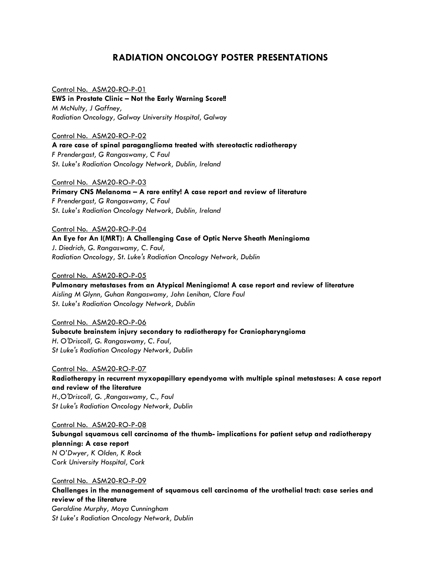#### **RADIATION ONCOLOGY POSTER PRESENTATIONS**

Control No. ASM20-RO-P-01 **EWS in Prostate Clinic – Not the Early Warning Score!!** *M McNulty, J Gaffney, Radiation Oncology, Galway University Hospital, Galway*

Control No. ASM20-RO-P-02 **A rare case of spinal paraganglioma treated with stereotactic radiotherapy** *F Prendergast, G Rangaswamy, C Faul St. Luke's Radiation Oncology Network, Dublin, Ireland*

Control No. ASM20-RO-P-03 **Primary CNS Melanoma – A rare entity! A case report and review of literature** *F Prendergast, G Rangaswamy, C Faul St. Luke's Radiation Oncology Network, Dublin, Ireland*

Control No. ASM20-RO-P-04 **An Eye for An I(MRT): A Challenging Case of Optic Nerve Sheath Meningioma** *J. Diedrich, G. Rangaswamy, C. Faul, Radiation Oncology, St. Luke's Radiation Oncology Network, Dublin*

#### Control No. ASM20-RO-P-05

**Pulmonary metastases from an Atypical Meningioma! A case report and review of literature** *Aisling M Glynn, Guhan Rangaswamy, John Lenihan, Clare Faul St. Luke's Radiation Oncology Network, Dublin*

Control No. ASM20-RO-P-06 **Subacute brainstem injury secondary to radiotherapy for Craniopharyngioma** *H. O'Driscoll, G. Rangaswamy, C. Faul, St Luke's Radiation Oncology Network, Dublin*

Control No. ASM20-RO-P-07 **Radiotherapy in recurrent myxopapillary ependyoma with multiple spinal metastases: A case report and review of the literature** *H.,O'Driscoll, G. ,Rangaswamy, C., Faul St Luke's Radiation Oncology Network, Dublin*

Control No. ASM20-RO-P-08 **Subungal squamous cell carcinoma of the thumb- implications for patient setup and radiotherapy planning: A case report** *N O'Dwyer, K Olden, K Rock Cork University Hospital, Cork*

Control No. ASM20-RO-P-09 **Challenges in the management of squamous cell carcinoma of the urothelial tract: case series and review of the literature** *Geraldine Murphy, Moya Cunningham St Luke's Radiation Oncology Network, Dublin*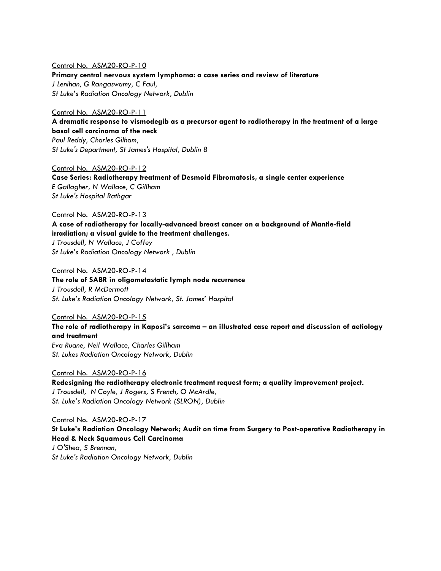#### Control No. ASM20-RO-P-10

**Primary central nervous system lymphoma: a case series and review of literature** *J Lenihan, G Rangaswamy, C Faul, St Luke's Radiation Oncology Network, Dublin*

#### Control No. ASM20-RO-P-11

**A dramatic response to vismodegib as a precursor agent to radiotherapy in the treatment of a large basal cell carcinoma of the neck** *Paul Reddy, Charles Gilham,* 

*St Luke's Department, St James's Hospital, Dublin 8*

Control No. ASM20-RO-P-12 **Case Series: Radiotherapy treatment of Desmoid Fibromatosis, a single center experience** *E Gallagher, N Wallace, C Gillham St Luke's Hospital Rathgar*

#### Control No. ASM20-RO-P-13

**A case of radiotherapy for locally-advanced breast cancer on a background of Mantle-field irradiation; a visual guide to the treatment challenges.**

*J Trousdell, N Wallace, J Coffey St Luke's Radiation Oncology Network , Dublin*

Control No. ASM20-RO-P-14

**The role of SABR in oligometastatic lymph node recurrence** *J Trousdell, R McDermott St. Luke's Radiation Oncology Network, St. James' Hospital*

Control No. ASM20-RO-P-15

**The role of radiotherapy in Kaposi's sarcoma – an illustrated case report and discussion of aetiology and treatment** *Eva Ruane, Neil Wallace, Charles Gillham*

*St. Lukes Radiation Oncology Network, Dublin*

Control No. ASM20-RO-P-16

**Redesigning the radiotherapy electronic treatment request form; a quality improvement project.** *J Trousdell, N Coyle, J Rogers, S French, O McArdle, St. Luke's Radiation Oncology Network (SLRON), Dublin* 

Control No. ASM20-RO-P-17

**St Luke's Radiation Oncology Network; Audit on time from Surgery to Post-operative Radiotherapy in Head & Neck Squamous Cell Carcinoma**

*J O'Shea, S Brennan, St Luke's Radiation Oncology Network, Dublin*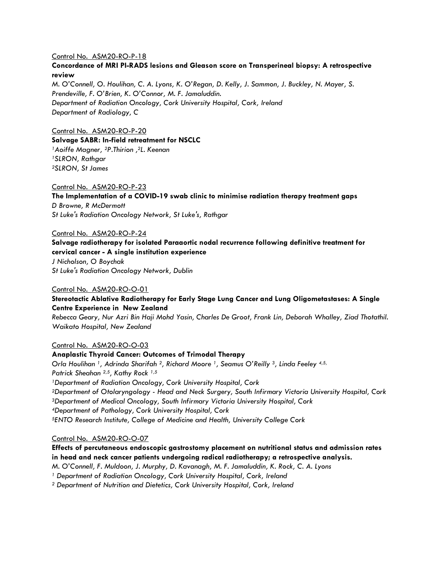#### Control No. ASM20-RO-P-18

#### **Concordance of MRI PI-RADS lesions and Gleason score on Transperineal biopsy: A retrospective review**

*M. O'Connell, O. Houlihan, C. A. Lyons, K. O'Regan, D. Kelly, J. Sammon, J. Buckley, N. Mayer, S. Prendeville, F. O'Brien, K. O'Connor, M. F. Jamaluddin. Department of Radiation Oncology, Cork University Hospital, Cork, Ireland Department of Radiology, C*

#### Control No. ASM20-RO-P-20

**Salvage SABR: In-field retreatment for NSCLC** *Aoiffe Magner, 2P.Thirion , <sup>2</sup>L. Keenan SLRON, Rathgar SLRON, St James*

#### Control No. ASM20-RO-P-23

**The Implementation of a COVID-19 swab clinic to minimise radiation therapy treatment gaps** *D Browne, R McDermott St Luke's Radiation Oncology Network, St Luke's, Rathgar*

#### Control No. ASM20-RO-P-24

**Salvage radiotherapy for isolated Paraaortic nodal recurrence following definitive treatment for cervical cancer - A single institution experience**

*J Nicholson, O Boychak St Luke's Radiation Oncology Network, Dublin*

#### Control No. ASM20-RO-O-01

#### **Stereotactic Ablative Radiotherapy for Early Stage Lung Cancer and Lung Oligometastases: A Single Centre Experience in New Zealand**

*Rebecca Geary, Nur Azri Bin Haji Mohd Yasin, Charles De Groot, Frank Lin, Deborah Whalley, Ziad Thotathil. Waikato Hospital, New Zealand*

#### Control No. ASM20-RO-O-03

#### **Anaplastic Thyroid Cancer: Outcomes of Trimodal Therapy**

*Orla Houlihan 1, Adrinda Sharifah 2, Richard Moore 1, Seamus O'Reilly 3, Linda Feeley 4,5, Patrick Sheahan 2,5, Kathy Rock 1,5 Department of Radiation Oncology, Cork University Hospital, Cork Department of Otolaryngology - Head and Neck Surgery, South Infirmary Victoria University Hospital, Cork Department of Medical Oncology, South Infirmary Victoria University Hospital, Cork Department of Pathology, Cork University Hospital, Cork ENTO Research Institute, College of Medicine and Health, University College Cork*

#### Control No. ASM20-RO-O-07

#### **Effects of percutaneous endoscopic gastrostomy placement on nutritional status and admission rates in head and neck cancer patients undergoing radical radiotherapy; a retrospective analysis.**

*M. O'Connell, F. Muldoon, J. Murphy, D. Kavanagh, M. F. Jamaluddin, K. Rock, C. A. Lyons*

*<sup>1</sup> Department of Radiation Oncology, Cork University Hospital, Cork, Ireland*

*<sup>2</sup> Department of Nutrition and Dietetics, Cork University Hospital, Cork, Ireland*